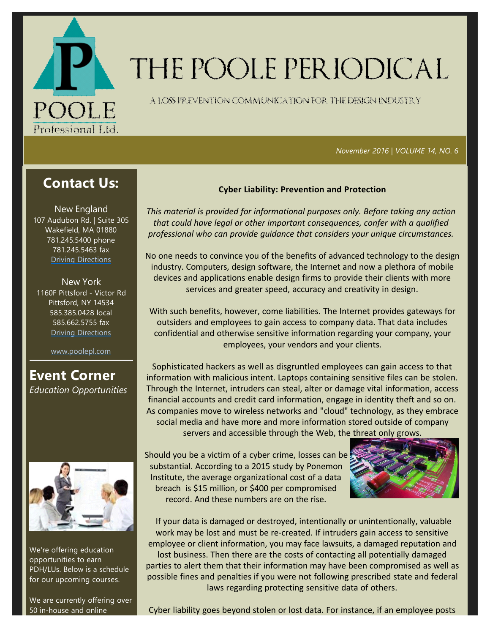

# THE POOLE PERIODICAL

A LOSS FREVENTION COMMUNICATION FOR THE DENGNINDUSTRY

 *November 2016 | VOLUME 14, NO. 6*

# **Contact Us:**

New England 107 Audubon Rd. | Suite 305 Wakefield, MA 01880 781.245.5400 phone 781.245.5463 fax Driving Directions

New York 1160F Pittsford ‐ Victor Rd Pittsford, NY 14534 585.385.0428 local 585.662.5755 fax Driving Directions

www.poolepl.com

**Event Corner** *Education Opportunities*



We're offering education opportunities to earn PDH/LUs. Below is a schedule for our upcoming courses.

We are currently offering over 50 in‐house and online

## **Cyber Liability: Prevention and Protection**

*This material is provided for informational purposes only. Before taking any action that could have legal or other important consequences, confer with a qualified professional who can provide guidance that considers your unique circumstances.*

No one needs to convince you of the benefits of advanced technology to the design industry. Computers, design software, the Internet and now a plethora of mobile devices and applications enable design firms to provide their clients with more services and greater speed, accuracy and creativity in design.

With such benefits, however, come liabilities. The Internet provides gateways for outsiders and employees to gain access to company data. That data includes confidential and otherwise sensitive information regarding your company, your employees, your vendors and your clients.

Sophisticated hackers as well as disgruntled employees can gain access to that information with malicious intent. Laptops containing sensitive files can be stolen. Through the Internet, intruders can steal, alter or damage vital information, access financial accounts and credit card information, engage in identity theft and so on. As companies move to wireless networks and "cloud" technology, as they embrace social media and have more and more information stored outside of company servers and accessible through the Web, the threat only grows.

Should you be a victim of a cyber crime, losses can be substantial. According to a 2015 study by Ponemon Institute, the average organizational cost of a data breach is \$15 million, or \$400 per compromised record. And these numbers are on the rise.



If your data is damaged or destroyed, intentionally or unintentionally, valuable work may be lost and must be re-created. If intruders gain access to sensitive employee or client information, you may face lawsuits, a damaged reputation and lost business. Then there are the costs of contacting all potentially damaged parties to alert them that their information may have been compromised as well as possible fines and penalties if you were not following prescribed state and federal laws regarding protecting sensitive data of others.

Cyber liability goes beyond stolen or lost data. For instance, if an employee posts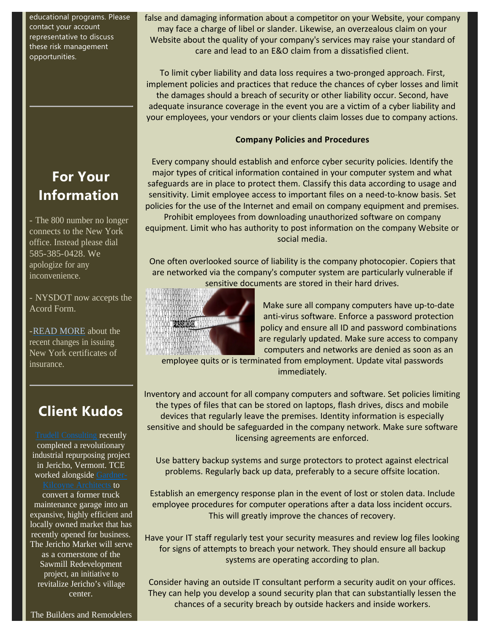educational programs. Please contact your account representative to discuss these risk management opportunities.

# **For Your Information**

- The 800 number no longer connects to the New York office. Instead please dial 585-385-0428. We apologize for any inconvenience.

- NYSDOT now accepts the Acord Form.

-READ MORE about the recent changes in issuing New York certificates of insurance.

# **Client Kudos**

Trudell Consulting recently completed a revolutionary industrial repurposing project in Jericho, Vermont. TCE worked alongside Gardner-Kilcoyne Architects to convert a former truck maintenance garage into an expansive, highly efficient and locally owned market that has recently opened for business. The Jericho Market will serve as a cornerstone of the Sawmill Redevelopment project, an initiative to revitalize Jericho's village center.

false and damaging information about a competitor on your Website, your company may face a charge of libel or slander. Likewise, an overzealous claim on your Website about the quality of your company's services may raise your standard of care and lead to an E&O claim from a dissatisfied client.

To limit cyber liability and data loss requires a two‐pronged approach. First, implement policies and practices that reduce the chances of cyber losses and limit the damages should a breach of security or other liability occur. Second, have adequate insurance coverage in the event you are a victim of a cyber liability and your employees, your vendors or your clients claim losses due to company actions.

## **Company Policies and Procedures**

Every company should establish and enforce cyber security policies. Identify the major types of critical information contained in your computer system and what safeguards are in place to protect them. Classify this data according to usage and sensitivity. Limit employee access to important files on a need-to-know basis. Set policies for the use of the Internet and email on company equipment and premises. Prohibit employees from downloading unauthorized software on company

equipment. Limit who has authority to post information on the company Website or social media.

One often overlooked source of liability is the company photocopier. Copiers that are networked via the company's computer system are particularly vulnerable if sensitive documents are stored in their hard drives.



Make sure all company computers have up‐to‐date anti‐virus software. Enforce a password protection policy and ensure all ID and password combinations are regularly updated. Make sure access to company computers and networks are denied as soon as an

employee quits or is terminated from employment. Update vital passwords immediately.

Inventory and account for all company computers and software. Set policies limiting the types of files that can be stored on laptops, flash drives, discs and mobile devices that regularly leave the premises. Identity information is especially sensitive and should be safeguarded in the company network. Make sure software licensing agreements are enforced.

Use battery backup systems and surge protectors to protect against electrical problems. Regularly back up data, preferably to a secure offsite location.

Establish an emergency response plan in the event of lost or stolen data. Include employee procedures for computer operations after a data loss incident occurs. This will greatly improve the chances of recovery.

Have your IT staff regularly test your security measures and review log files looking for signs of attempts to breach your network. They should ensure all backup systems are operating according to plan.

Consider having an outside IT consultant perform a security audit on your offices. They can help you develop a sound security plan that can substantially lessen the chances of a security breach by outside hackers and inside workers.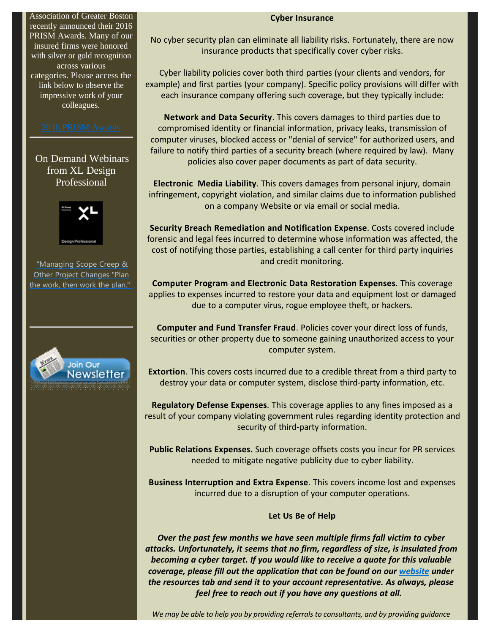Association of Greater Boston recently announced their 2016 PRISM Awards. Many of our insured firms were honored with silver or gold recognition across various categories. Please access the link below to observe the impressive work of your colleagues.

On Demand Webinars from XL Design Professional



"Managing Scope Creep & Other Project Changes "Plan the work, then work the plan."



#### **Cyber Insurance**

No cyber security plan can eliminate all liability risks. Fortunately, there are now insurance products that specifically cover cyber risks.

Cyber liability policies cover both third parties (your clients and vendors, for example) and first parties (your company). Specific policy provisions will differ with each insurance company offering such coverage, but they typically include:

**Network and Data Security**. This covers damages to third parties due to compromised identity or financial information, privacy leaks, transmission of computer viruses, blocked access or "denial of service" for authorized users, and failure to notify third parties of a security breach (where required by law). Many policies also cover paper documents as part of data security.

**Electronic Media Liability**. This covers damages from personal injury, domain infringement, copyright violation, and similar claims due to information published on a company Website or via email or social media.

**Security Breach Remediation and Notification Expense**. Costs covered include forensic and legal fees incurred to determine whose information was affected, the cost of notifying those parties, establishing a call center for third party inquiries and credit monitoring.

**Computer Program and Electronic Data Restoration Expenses**. This coverage applies to expenses incurred to restore your data and equipment lost or damaged due to a computer virus, rogue employee theft, or hackers.

**Computer and Fund Transfer Fraud**. Policies cover your direct loss of funds, securities or other property due to someone gaining unauthorized access to your computer system.

**Extortion**. This covers costs incurred due to a credible threat from a third party to destroy your data or computer system, disclose third‐party information, etc.

**Regulatory Defense Expenses**. This coverage applies to any fines imposed as a result of your company violating government rules regarding identity protection and security of third‐party information.

**Public Relations Expenses.** Such coverage offsets costs you incur for PR services needed to mitigate negative publicity due to cyber liability.

**Business Interruption and Extra Expense**. This covers income lost and expenses incurred due to a disruption of your computer operations.

#### **Let Us Be of Help**

*Over the past few months we have seen multiple firms fall victim to cyber attacks. Unfortunately, it seems that no firm, regardless of size, is insulated from becoming a cyber target. If you would like to receive a quote for this valuable coverage, please fill out the application that can be found on our website under the resources tab and send it to your account representative. As always, please feel free to reach out if you have any questions at all.*